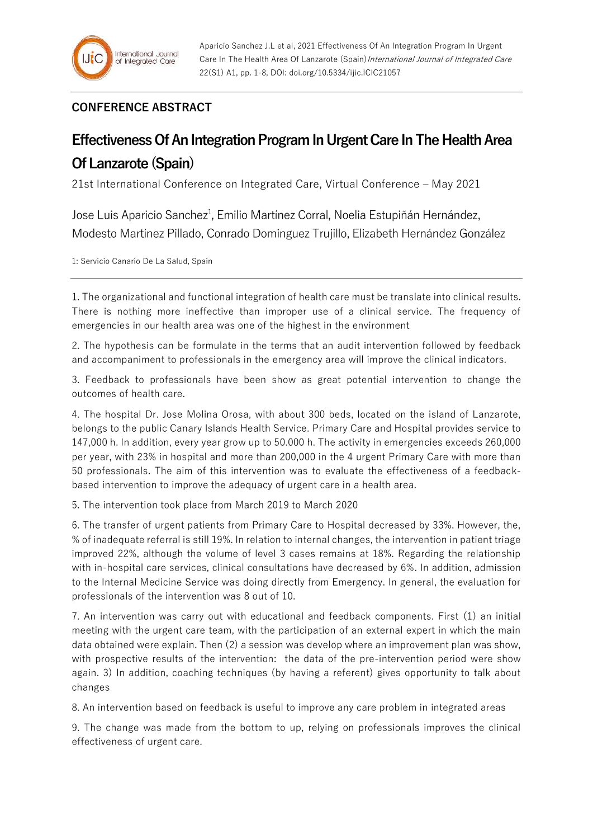## **CONFERENCE ABSTRACT**

## **Effectiveness Of An Integration Program In Urgent Care In The Health Area Of Lanzarote (Spain)**

21st International Conference on Integrated Care, Virtual Conference – May 2021

Jose Luis Aparicio Sanchez<sup>1</sup>, Emilio Martínez Corral, Noelia Estupiñán Hernández, Modesto Martínez Pillado, Conrado Dominguez Trujillo, Elizabeth Hernández González

1: Servicio Canario De La Salud, Spain

1. The organizational and functional integration of health care must be translate into clinical results. There is nothing more ineffective than improper use of a clinical service. The frequency of emergencies in our health area was one of the highest in the environment

2. The hypothesis can be formulate in the terms that an audit intervention followed by feedback and accompaniment to professionals in the emergency area will improve the clinical indicators.

3. Feedback to professionals have been show as great potential intervention to change the outcomes of health care.

4. The hospital Dr. Jose Molina Orosa, with about 300 beds, located on the island of Lanzarote, belongs to the public Canary Islands Health Service. Primary Care and Hospital provides service to 147,000 h. In addition, every year grow up to 50.000 h. The activity in emergencies exceeds 260,000 per year, with 23% in hospital and more than 200,000 in the 4 urgent Primary Care with more than 50 professionals. The aim of this intervention was to evaluate the effectiveness of a feedbackbased intervention to improve the adequacy of urgent care in a health area.

5. The intervention took place from March 2019 to March 2020

6. The transfer of urgent patients from Primary Care to Hospital decreased by 33%. However, the, % of inadequate referral is still 19%. In relation to internal changes, the intervention in patient triage improved 22%, although the volume of level 3 cases remains at 18%. Regarding the relationship with in-hospital care services, clinical consultations have decreased by 6%. In addition, admission to the Internal Medicine Service was doing directly from Emergency. In general, the evaluation for professionals of the intervention was 8 out of 10.

7. An intervention was carry out with educational and feedback components. First (1) an initial meeting with the urgent care team, with the participation of an external expert in which the main data obtained were explain. Then (2) a session was develop where an improvement plan was show, with prospective results of the intervention: the data of the pre-intervention period were show again. 3) In addition, coaching techniques (by having a referent) gives opportunity to talk about changes

8. An intervention based on feedback is useful to improve any care problem in integrated areas

9. The change was made from the bottom to up, relying on professionals improves the clinical effectiveness of urgent care.